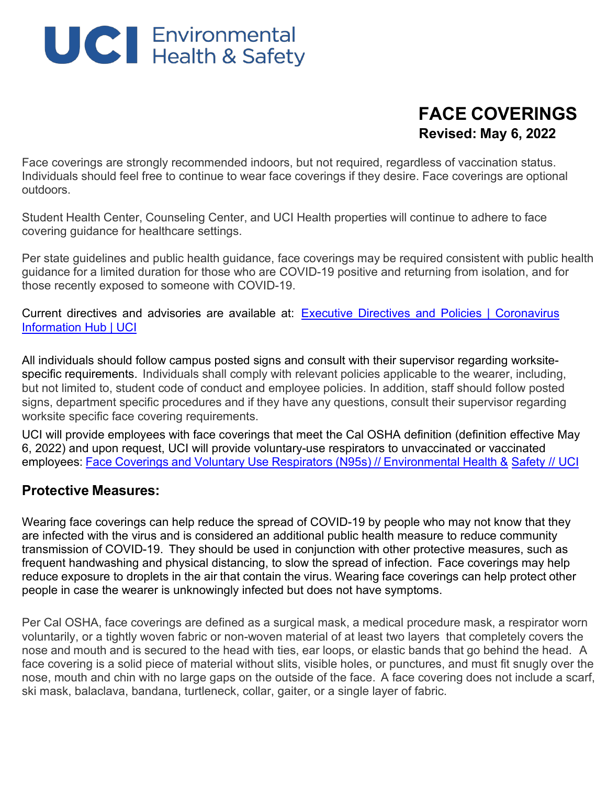

# **FACE COVERINGS Revised: May 6, 2022**

Face coverings are strongly recommended indoors, but not required, regardless of vaccination status. Individuals should feel free to continue to wear face coverings if they desire. Face coverings are optional outdoors.

Student Health Center, Counseling Center, and UCI Health properties will continue to adhere to face covering guidance for healthcare settings.

Per state guidelines and public health guidance, face coverings may be required consistent with public health guidance for a limited duration for those who are COVID-19 positive and returning from isolation, and for those recently exposed to someone with COVID-19.

Current directives and advisories are available a[t:](https://uci.edu/coronavirus/) Executive Directives and [Policies | Coronavirus](https://uci.edu/coronavirus/executive-directives/index.php) [Information Hub | UCI](https://uci.edu/coronavirus/executive-directives/index.php)

All individuals should follow campus posted signs and consult with their supervisor regarding worksitespecific requirements. Individuals shall comply with relevant policies applicable to the wearer, including, but not limited to, student code of conduct and employee policies. In addition, staff should follow posted signs, department specific procedures and if they have any questions, consult their supervisor regarding worksite specific face covering requirements.

UCI will provide employees with face coverings that meet the Cal OSHA definition (definition effective May 6, 2022) and upon request, UCI will provide voluntary-use respirators to unvaccinated or vaccinated employees: Face Coverings and Voluntary Use Respirators (N95s) // [Environmental](https://www.ehs.uci.edu/public-health/covid-19/face-covering-distribution.php) Health & [Safety // UCI](https://www.ehs.uci.edu/public-health/covid-19/face-covering-distribution.php)

## **Protective Measures:**

Wearing face coverings can help reduce the spread of COVID-19 by people who may not know that they are infected with the virus and is considered an additional public health measure to reduce community transmission of COVID-19. They should be used in conjunction with other protective measures, such as frequent handwashing and physical distancing, to slow the spread of infection. Face coverings may help reduce exposure to droplets in the air that contain the virus. Wearing face coverings can help protect other people in case the wearer is unknowingly infected but does not have symptoms.

Per Cal OSHA, face coverings are defined as a surgical mask, a medical procedure mask, a respirator worn voluntarily, or a tightly woven fabric or non-woven material of at least two layers that completely covers the nose and mouth and is secured to the head with ties, ear loops, or elastic bands that go behind the head. A face covering is a solid piece of material without slits, visible holes, or punctures, and must fit snugly over the nose, mouth and chin with no large gaps on the outside of the face. A face covering does not include a scarf, ski mask, balaclava, bandana, turtleneck, collar, gaiter, or a single layer of fabric.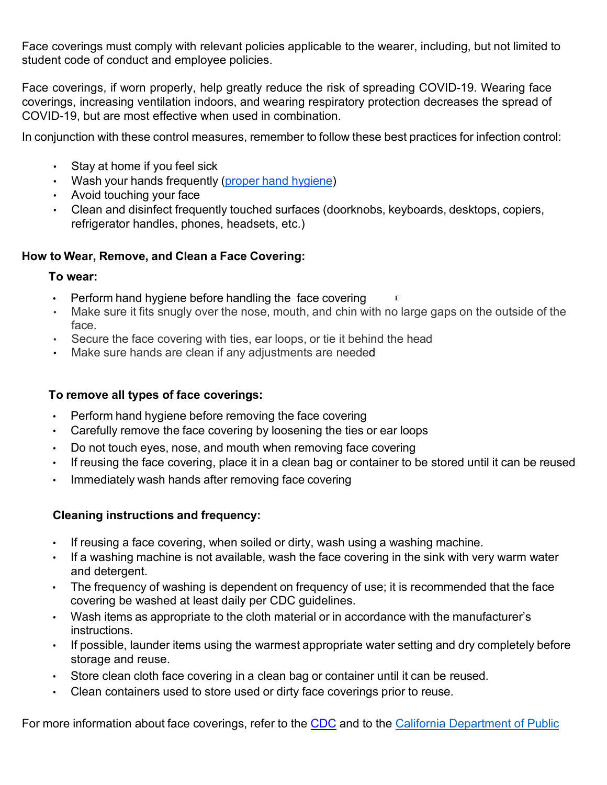Face coverings must comply with relevant policies applicable to the wearer, including, but not limited to student code of conduct and employee policies.

Face coverings, if worn properly, help greatly reduce the risk of spreading COVID-19. Wearing face coverings, increasing ventilation indoors, and wearing respiratory protection decreases the spread of COVID-19, but are most effective when used in combination.

In conjunction with these control measures, remember to follow these best practices for infection control:

- Stay at home if you feel sick
- Wash your hands frequently [\(proper hand hygiene\)](https://www.cdc.gov/handwashing/when-how-handwashing.html)
- Avoid touching your face
- Clean and disinfect frequently touched surfaces (doorknobs, keyboards, desktops, copiers, refrigerator handles, phones, headsets, etc.)

## **How to Wear, Remove, and Clean a Face Covering:**

#### **To wear:**

- Perform hand hygiene before handling the face covering
- Make sure it fits snugly over the nose, mouth, and chin with no large gaps on the outside of the face.
- Secure the face covering with ties, ear loops, or tie it behind the head
- Make sure hands are clean if any adjustments are needed

### **To remove all types of face coverings:**

- Perform hand hygiene before removing the face covering
- Carefully remove the face covering by loosening the ties or ear loops
- Do not touch eyes, nose, and mouth when removing face covering
- If reusing the face covering, place it in a clean bag or container to be stored until it can be reused
- Immediately wash hands after removing face covering

## **Cleaning instructions and frequency:**

- If reusing a face covering, when soiled or dirty, wash using a washing machine.
- If a washing machine is not available, wash the face covering in the sink with very warm water and detergent.
- The frequency of washing is dependent on frequency of use; it is recommended that the face covering be washed at least daily per CDC guidelines.
- Wash items as appropriate to the cloth material or in accordance with the manufacturer's instructions.
- If possible, launder items using the warmest appropriate water setting and dry completely before storage and reuse.
- Store clean cloth face covering in a clean bag or container until it can be reused.
- Clean containers used to store used or dirty face coverings prior to reuse.

For more information about face coverings, refer to the [CDC](https://www.cdc.gov/coronavirus/2019-ncov/prevent-getting-sick/diy-cloth-face-coverings.html) and to the [California Department](https://www.cdph.ca.gov/Programs/OPA/Pages/NR20-128.aspx) of Public